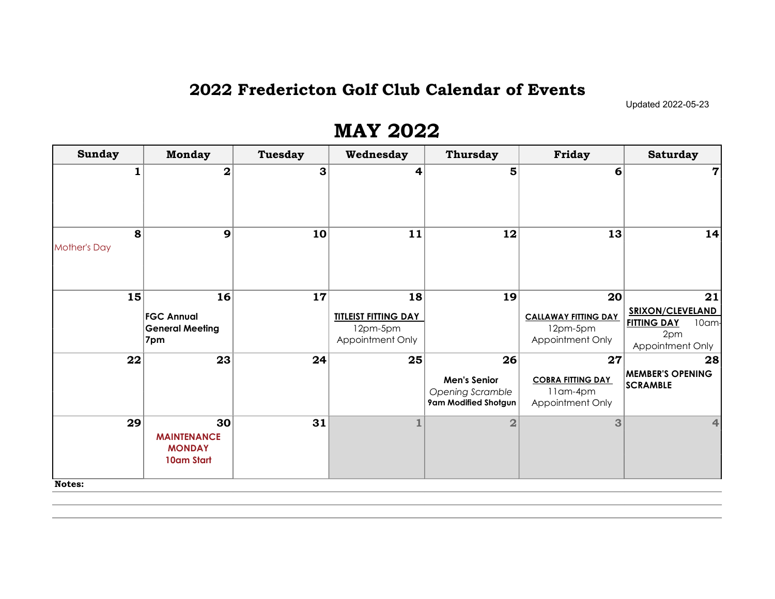#### 2022 Fredericton Golf Club Calendar of Events

Updated 2022-05-23

| <b>Sunday</b>            | <b>Monday</b>                                            | <b>Tuesday</b> | Wednesday                                                         | <b>Thursday</b>                                                              | Friday                                                                         | <b>Saturday</b>                                                                         |
|--------------------------|----------------------------------------------------------|----------------|-------------------------------------------------------------------|------------------------------------------------------------------------------|--------------------------------------------------------------------------------|-----------------------------------------------------------------------------------------|
|                          | $\overline{\mathbf{2}}$                                  | 3 <sup>1</sup> | 4                                                                 | 5                                                                            | 6                                                                              | $\mathbf 7$                                                                             |
| 8<br><b>Mother's Day</b> | 9                                                        | 10             | 11                                                                | 12                                                                           | 13                                                                             | 14                                                                                      |
| 15                       | 16<br><b>FGC Annual</b><br><b>General Meeting</b><br>7pm | 17             | 18<br><b>TITLEIST FITTING DAY</b><br>12pm-5pm<br>Appointment Only | 19                                                                           | 20 <sub>l</sub><br><b>CALLAWAY FITTING DAY</b><br>12pm-5pm<br>Appointment Only | 21<br><b>SRIXON/CLEVELAND</b><br><b>FITTING DAY</b><br>10am-<br>2pm<br>Appointment Only |
| 22                       | 23                                                       | 24             | 25                                                                | 26<br><b>Men's Senior</b><br><b>Opening Scramble</b><br>9am Modified Shotgun | 27<br><b>COBRA FITTING DAY</b><br>11am-4pm<br>Appointment Only                 | 28<br><b>MEMBER'S OPENING</b><br><b>SCRAMBLE</b>                                        |
| 29<br><b>Notes:</b>      | 30<br><b>MAINTENANCE</b><br><b>MONDAY</b><br>10am Start  | 31             | $\mathbf{1}$                                                      | $\overline{2}$                                                               | 3                                                                              | 4                                                                                       |

#### MAY 2022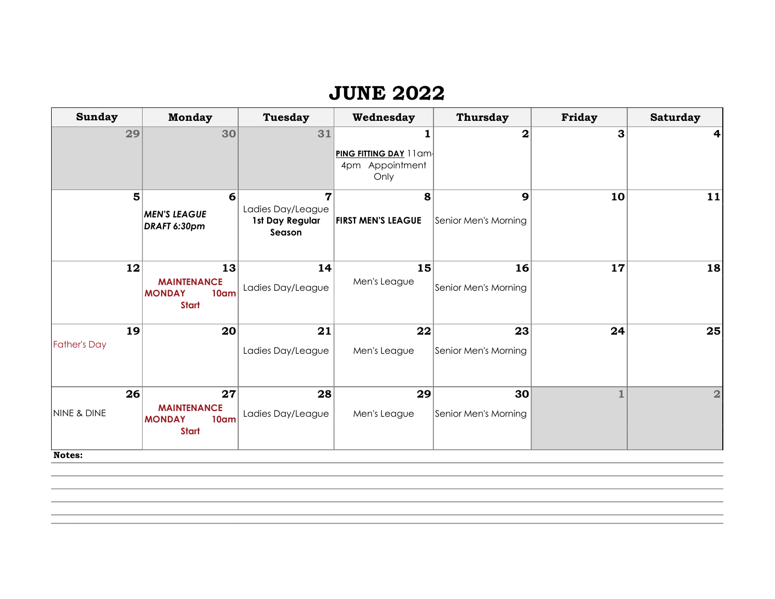#### JUNE 2022

| <b>Sunday</b>                          | <b>Monday</b>                                                                 | <b>Tuesday</b>                                                   | Wednesday                      | <b>Thursday</b>            | Friday | <b>Saturday</b> |
|----------------------------------------|-------------------------------------------------------------------------------|------------------------------------------------------------------|--------------------------------|----------------------------|--------|-----------------|
| 29                                     | 30                                                                            | 31                                                               | PING FITTING DAY 11am          | $\overline{\mathbf{2}}$    | 3      | 4               |
|                                        |                                                                               |                                                                  | 4pm Appointment<br>Only        |                            |        |                 |
| 5                                      | $6 \mid$<br><b>MEN'S LEAGUE</b><br>DRAFT 6:30pm                               | $\overline{7}$<br>Ladies Day/League<br>1st Day Regular<br>Season | 8<br><b>FIRST MEN'S LEAGUE</b> | 9<br>Senior Men's Morning  | 10     | 11              |
| 12                                     | 13<br><b>MAINTENANCE</b><br><b>MONDAY</b><br>10 <sub>am</sub><br><b>Start</b> | 14<br>Ladies Day/League                                          | 15<br>Men's League             | 16<br>Senior Men's Morning | 17     | 18              |
| 19<br><b>Father's Day</b>              | 20 <sub>l</sub>                                                               | 21<br>Ladies Day/League                                          | 22<br>Men's League             | 23<br>Senior Men's Morning | 24     | 25              |
| 26<br><b>NINE &amp; DINE</b><br>Notes: | 27<br><b>MAINTENANCE</b><br>10am<br><b>MONDAY</b><br><b>Start</b>             | 28<br>Ladies Day/League                                          | 29<br>Men's League             | 30<br>Senior Men's Morning |        | $\overline{2}$  |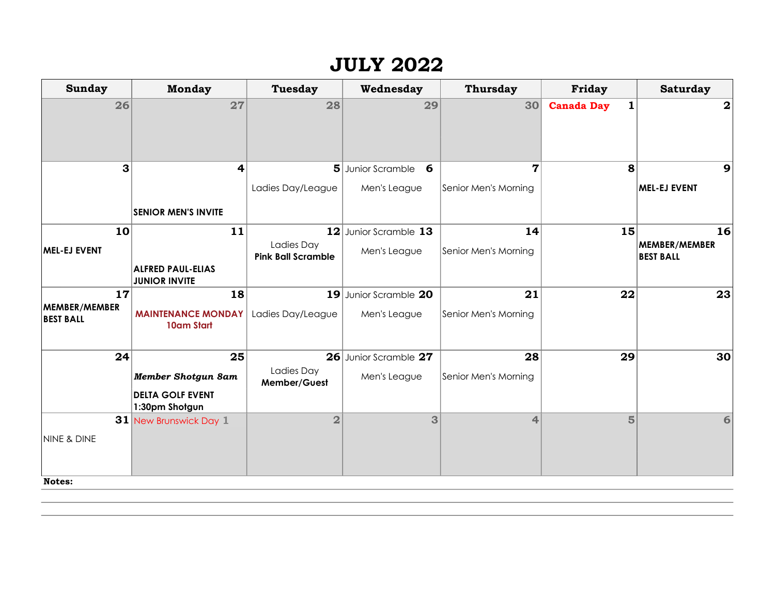#### JULY 2022

| Sunday                            | <b>Monday</b>                             | <b>Tuesday</b>                          | Wednesday              | <b>Thursday</b>      | Friday                            | <b>Saturday</b>                   |
|-----------------------------------|-------------------------------------------|-----------------------------------------|------------------------|----------------------|-----------------------------------|-----------------------------------|
| 26                                | 27                                        | 28                                      | 29                     | 30                   | $\mathbf{1}$<br><b>Canada Day</b> | $\overline{\mathbf{2}}$           |
| 3                                 | $\overline{\mathbf{r}}$                   | 5 <sup>1</sup>                          | - 6<br>Junior Scramble | 7                    | 8                                 | 9                                 |
|                                   |                                           | Ladies Day/League                       | Men's League           | Senior Men's Morning |                                   | MEL-EJ EVENT                      |
|                                   | <b>SENIOR MEN'S INVITE</b>                |                                         |                        |                      |                                   |                                   |
| 10                                | 11                                        |                                         | 12 Junior Scramble 13  | 14                   | 15                                | 16                                |
| MEL-EJ EVENT                      |                                           | Ladies Day<br><b>Pink Ball Scramble</b> | Men's League           | Senior Men's Morning |                                   | MEMBER/MEMBER<br><b>BEST BALL</b> |
|                                   | ALFRED PAUL-ELIAS<br><b>JUNIOR INVITE</b> |                                         |                        |                      |                                   |                                   |
| 17                                | 18                                        |                                         | 19 Junior Scramble 20  | 21                   | 22                                | 23                                |
| MEMBER/MEMBER<br><b>BEST BALL</b> | <b>MAINTENANCE MONDAY</b><br>10am Start   | Ladies Day/League                       | Men's League           | Senior Men's Morning |                                   |                                   |
| 24                                | 25                                        |                                         | 26 Junior Scramble 27  | 28                   | 29                                | 30                                |
|                                   | <b>Member Shotgun 8am</b>                 | Ladies Day<br>Member/Guest              | Men's League           | Senior Men's Morning |                                   |                                   |
|                                   | <b>DELTA GOLF EVENT</b><br>1:30pm Shotgun |                                         |                        |                      |                                   |                                   |
|                                   | 31 New Brunswick Day 1                    | $\overline{2}$                          | 3                      | 4                    | $\overline{5}$                    | 6                                 |
| <b>NINE &amp; DINE</b>            |                                           |                                         |                        |                      |                                   |                                   |
| <b>Notes:</b>                     |                                           |                                         |                        |                      |                                   |                                   |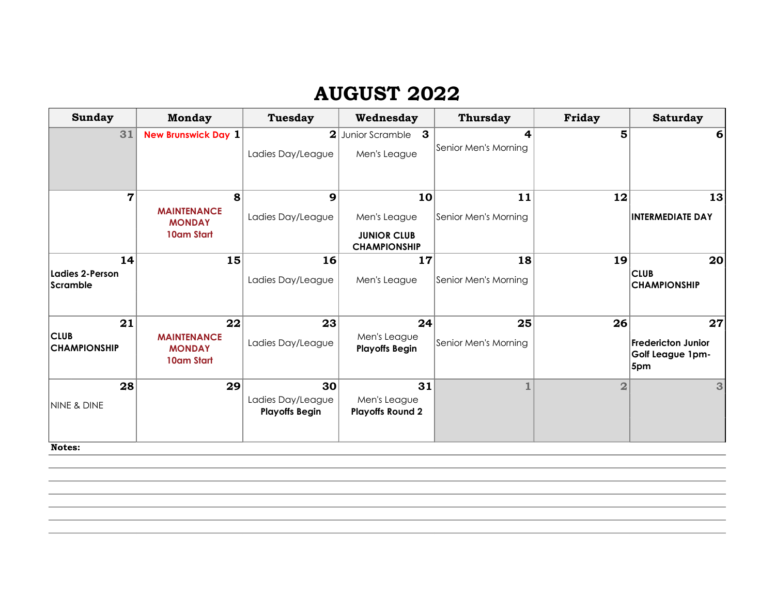## AUGUST 2022

| <b>Sunday</b>                      | <b>Monday</b>                                     | <b>Tuesday</b>                             | Wednesday                                 | <b>Thursday</b>         | Friday         | <b>Saturday</b>                                      |
|------------------------------------|---------------------------------------------------|--------------------------------------------|-------------------------------------------|-------------------------|----------------|------------------------------------------------------|
| 31                                 | <b>New Brunswick Day 1</b>                        |                                            | 2 Junior Scramble<br>$\mathbf{3}$         | $\overline{\mathbf{4}}$ | 5              | 6                                                    |
|                                    |                                                   | Ladies Day/League                          | Men's League                              | Senior Men's Morning    |                |                                                      |
|                                    |                                                   |                                            |                                           |                         |                |                                                      |
| $\overline{7}$                     | 8                                                 | 9                                          | 10                                        | 11                      | 12             | 13                                                   |
|                                    | <b>MAINTENANCE</b><br><b>MONDAY</b>               | Ladies Day/League                          | Men's League                              | Senior Men's Morning    |                | <b>INTERMEDIATE DAY</b>                              |
|                                    | 10am Start                                        |                                            | <b>JUNIOR CLUB</b><br><b>CHAMPIONSHIP</b> |                         |                |                                                      |
| 14                                 | 15                                                | 16                                         | 17                                        | 18                      | 19             | 20                                                   |
| Ladies 2-Person<br>Scramble        |                                                   | Ladies Day/League                          | Men's League                              | Senior Men's Morning    |                | <b>CLUB</b><br><b>CHAMPIONSHIP</b>                   |
| 21                                 | 22                                                | 23                                         | 24                                        | 25                      | 26             | 27                                                   |
| <b>CLUB</b><br><b>CHAMPIONSHIP</b> | <b>MAINTENANCE</b><br><b>MONDAY</b><br>10am Start | Ladies Day/League                          | Men's League<br><b>Playoffs Begin</b>     | Senior Men's Morning    |                | <b>Fredericton Junior</b><br>Golf League 1pm-<br>5pm |
| 28                                 | 29                                                | 30 <sup>2</sup>                            | 31                                        | $\mathbf{1}$            | $\overline{2}$ | 3                                                    |
| <b>NINE &amp; DINE</b>             |                                                   | Ladies Day/League<br><b>Playoffs Begin</b> | Men's League<br><b>Playoffs Round 2</b>   |                         |                |                                                      |
| Notes:                             |                                                   |                                            |                                           |                         |                |                                                      |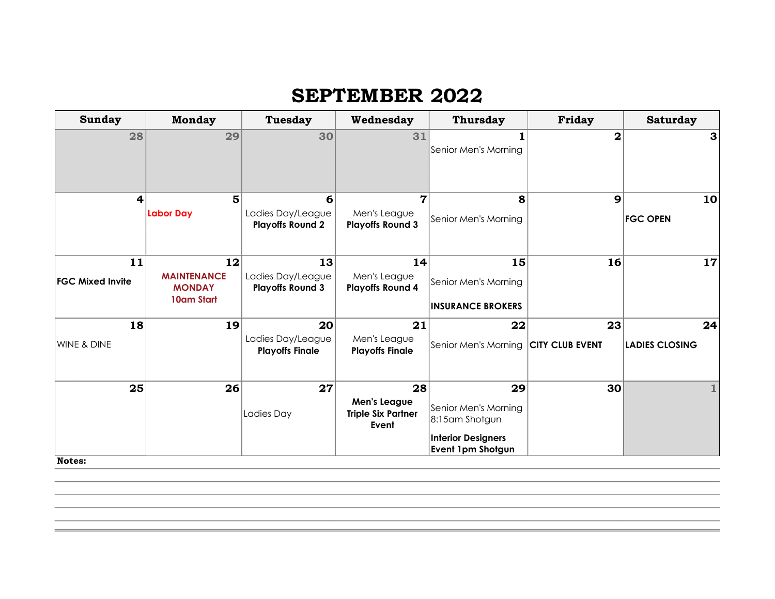## SEPTEMBER 2022

| <b>Sunday</b>           | <b>Monday</b>      | <b>Tuesday</b>          | Wednesday                          | <b>Thursday</b>                      | Friday          | <b>Saturday</b>       |
|-------------------------|--------------------|-------------------------|------------------------------------|--------------------------------------|-----------------|-----------------------|
| 28                      | 29                 | 30                      | 31                                 |                                      | $\overline{2}$  | 3                     |
|                         |                    |                         |                                    | Senior Men's Morning                 |                 |                       |
|                         |                    |                         |                                    |                                      |                 |                       |
|                         |                    |                         |                                    |                                      |                 |                       |
| 4                       | 5                  | 6                       | 7                                  | 8                                    | 9               | 10                    |
|                         | Labor Day          | Ladies Day/League       | Men's League                       | Senior Men's Morning                 |                 | <b>FGC OPEN</b>       |
|                         |                    | <b>Playoffs Round 2</b> | <b>Playoffs Round 3</b>            |                                      |                 |                       |
|                         |                    |                         |                                    |                                      |                 |                       |
| 11                      | 12                 | 13                      | 14                                 | 15                                   | 16              | 17                    |
| <b>FGC Mixed Invite</b> | <b>MAINTENANCE</b> | Ladies Day/League       | Men's League                       | Senior Men's Morning                 |                 |                       |
|                         | <b>MONDAY</b>      | <b>Playoffs Round 3</b> | <b>Playoffs Round 4</b>            |                                      |                 |                       |
|                         | 10am Start         |                         |                                    | <b>INSURANCE BROKERS</b>             |                 |                       |
| 18                      | 19                 | 20                      | 21                                 | 22                                   | 23              | 24                    |
| WINE & DINE             |                    | Ladies Day/League       | Men's League                       | Senior Men's Morning CITY CLUB EVENT |                 | <b>LADIES CLOSING</b> |
|                         |                    | <b>Playoffs Finale</b>  | <b>Playoffs Finale</b>             |                                      |                 |                       |
|                         |                    |                         |                                    |                                      |                 |                       |
| 25                      | 26                 | 27                      | 28                                 | 29                                   | 30 <sub>0</sub> |                       |
|                         |                    |                         | Men's League                       | Senior Men's Morning                 |                 |                       |
|                         |                    | Ladies Day              | <b>Triple Six Partner</b><br>Event | 8:15am Shotgun                       |                 |                       |
|                         |                    |                         |                                    | <b>Interior Designers</b>            |                 |                       |
| Notes:                  |                    |                         |                                    | Event 1pm Shotgun                    |                 |                       |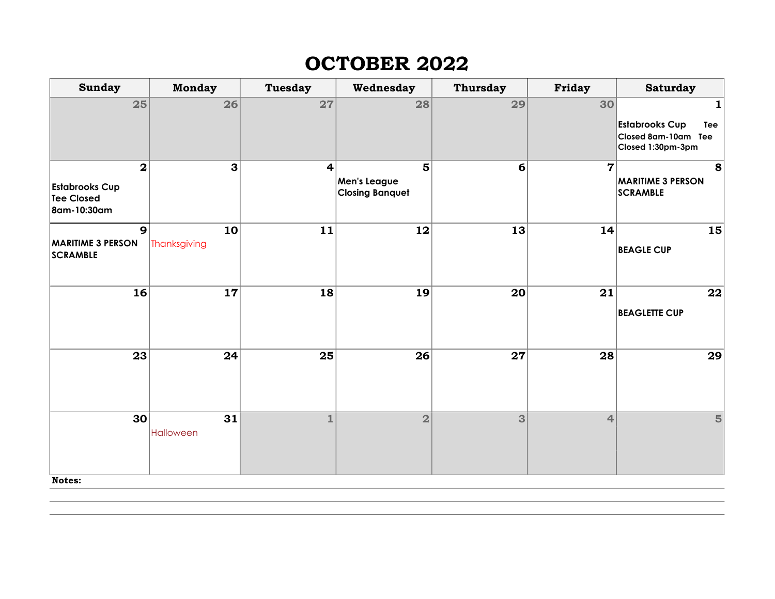# OCTOBER 2022

| <b>Sunday</b>                               | <b>Monday</b> | <b>Tuesday</b>  | Wednesday                              | <b>Thursday</b> | <b>Friday</b>  | <b>Saturday</b>                             |
|---------------------------------------------|---------------|-----------------|----------------------------------------|-----------------|----------------|---------------------------------------------|
| 25                                          | 26            | 27              | 28                                     | 29              | 30             | 1                                           |
|                                             |               |                 |                                        |                 |                | <b>Estabrooks Cup</b><br>Tee                |
|                                             |               |                 |                                        |                 |                | Closed 8am-10am Tee<br>Closed 1:30pm-3pm    |
| $\mathbf 2$                                 | 3             | $\vert$         | 5                                      | 6               | $\overline{7}$ | 8                                           |
| <b>Estabrooks Cup</b><br><b>Tee Closed</b>  |               |                 | Men's League<br><b>Closing Banquet</b> |                 |                | <b>MARITIME 3 PERSON</b><br><b>SCRAMBLE</b> |
| 8am-10:30am                                 |               |                 |                                        |                 |                |                                             |
| $\overline{9}$                              | 10            | 11              | 12                                     | 13              | 14             | 15                                          |
| <b>MARITIME 3 PERSON</b><br><b>SCRAMBLE</b> | Thanksgiving  |                 |                                        |                 |                | <b>BEAGLE CUP</b>                           |
| 16                                          | 17            | 18              | 19                                     | 20              | 21             | 22                                          |
|                                             |               |                 |                                        |                 |                | <b>BEAGLETTE CUP</b>                        |
| 23                                          | 24            | $\overline{25}$ | 26                                     | 27              | 28             | 29                                          |
| 30 <sup>2</sup>                             | 31            | $\mathbf{1}$    | $\overline{2}$                         | 3               | $\overline{4}$ | 5                                           |
| Notes:                                      | Halloween     |                 |                                        |                 |                |                                             |